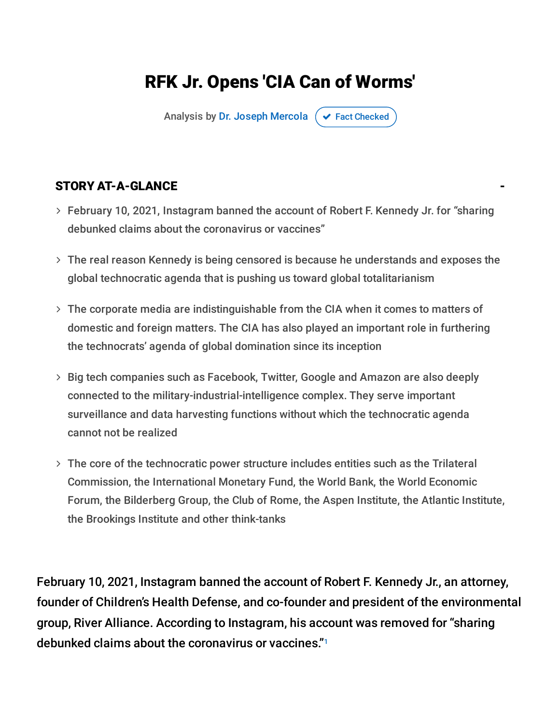## RFK Jr. Opens 'CIA Can of Worms'

Analysis by Dr. Joseph [Mercola](https://www.mercola.com/forms/background.htm)  $\sigma$  Fact [Checked](javascript:void(0))

#### STORY AT-A-GLANCE

- February 10, 2021, Instagram banned the account of Robert F. Kennedy Jr. for "sharing debunked claims about the coronavirus or vaccines"
- The real reason Kennedy is being censored is because he understands and exposes the global technocratic agenda that is pushing us toward global totalitarianism
- The corporate media are indistinguishable from the CIA when it comes to matters of domestic and foreign matters. The CIA has also played an important role in furthering the technocrats' agenda of global domination since its inception
- Big tech companies such as Facebook, Twitter, Google and Amazon are also deeply connected to the military-industrial-intelligence complex. They serve important surveillance and data harvesting functions without which the technocratic agenda cannot not be realized
- The core of the technocratic power structure includes entities such as the Trilateral Commission, the International Monetary Fund, the World Bank, the World Economic Forum, the Bilderberg Group, the Club of Rome, the Aspen Institute, the Atlantic Institute, the Brookings Institute and other think-tanks

February 10, 2021, Instagram banned the account of Robert F. Kennedy Jr., an attorney, founder of Children's Health Defense, and co-founder and president of the environmental group, River Alliance. According to Instagram, his account was removed for "sharing debunked claims about the coronavirus or vaccines." 1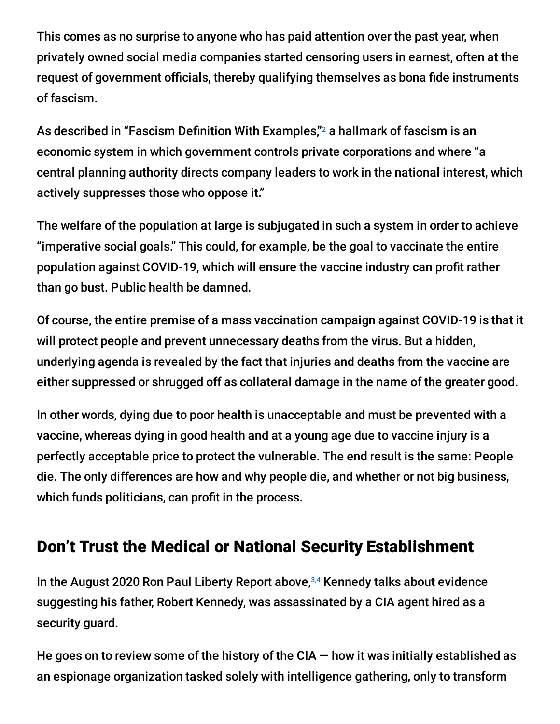This comes as no surprise to anyone who has paid attention over the past year, when privately owned social media companies started censoring users in earnest, often at the request of government officials, thereby qualifying themselves as bona fide instruments of fascism.

As described in "Fascism Definition With Examples," $^{\rm 2}$  a hallmark of fascism is an economic system in which government controls private corporations and where "a central planning authority directs company leaders to work in the national interest, which actively suppresses those who oppose it."

The welfare of the population at large is subjugated in such a system in order to achieve "imperative social goals." This could, for example, be the goal to vaccinate the entire population against COVID-19, which will ensure the vaccine industry can profit rather than go bust. Public health be damned.

Of course, the entire premise of a mass vaccination campaign against COVID-19 is that it will protect people and prevent unnecessary deaths from the virus. But a hidden, underlying agenda is revealed by the fact that injuries and deaths from the vaccine are either suppressed or shrugged off as collateral damage in the name of the greater good.

In other words, dying due to poor health is unacceptable and must be prevented with a vaccine, whereas dying in good health and at a young age due to vaccine injury is a perfectly acceptable price to protect the vulnerable. The end result is the same: People die. The only differences are how and why people die, and whether or not big business, which funds politicians, can profit in the process.

#### Don't Trust the Medical or National Security Establishment

In the August 2020 Ron Paul Liberty Report above,<sup>3,4</sup> Kennedy talks about evidence suggesting his father, Robert Kennedy, was assassinated by a CIA agent hired as a security guard.

He goes on to review some of the history of the CIA  $-$  how it was initially established as an espionage organization tasked solely with intelligence gathering, only to transform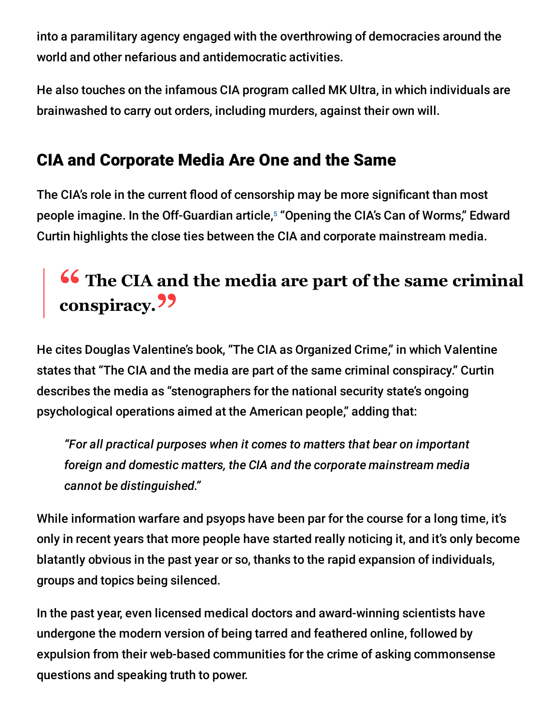into a paramilitary agency engaged with the overthrowing of democracies around the world and other nefarious and antidemocratic activities.

He also touches on the infamous CIA program called MK Ultra, in which individuals are brainwashed to carry out orders, including murders, against their own will.

### CIA and Corporate Media Are One and the Same

The CIA's role in the current flood of censorship may be more significant than most people imagine. In the Off-Guardian article,<sup>5</sup> "Opening the CIA's Can of Worms," Edward Curtin highlights the close ties between the CIA and corporate mainstream media.

# **" The CIA and the media are part of the same criminal conspiracy."**

He cites Douglas Valentine's book, "The CIA as Organized Crime," in which Valentine states that "The CIA and the media are part of the same criminal conspiracy." Curtin describes the media as "stenographers for the national security state's ongoing psychological operations aimed at the American people," adding that:

*"For all practical purposes when it comes to matters that bear on important foreign and domestic matters, the CIA and the corporate mainstream media cannot be distinguished."*

While information warfare and psyops have been par for the course for a long time, it's only in recent years that more people have started really noticing it, and it's only become blatantly obvious in the past year or so, thanks to the rapid expansion of individuals, groups and topics being silenced.

In the past year, even licensed medical doctors and award-winning scientists have undergone the modern version of being tarred and feathered online, followed by expulsion from their web-based communities for the crime of asking commonsense questions and speaking truth to power.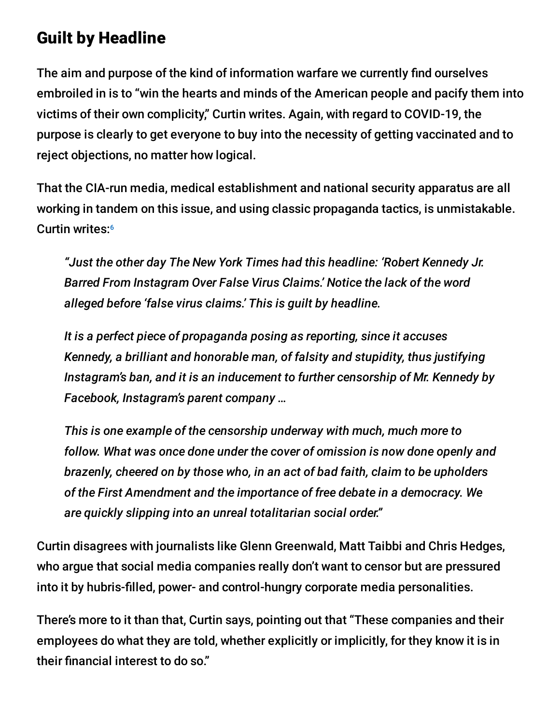### Guilt by Headline

The aim and purpose of the kind of information warfare we currently find ourselves embroiled in is to "win the hearts and minds of the American people and pacify them into victims of their own complicity," Curtin writes. Again, with regard to COVID-19, the purpose is clearly to get everyone to buy into the necessity of getting vaccinated and to reject objections, no matter how logical.

That the CIA-run media, medical establishment and national security apparatus are all working in tandem on this issue, and using classic propaganda tactics, is unmistakable. Curtin writes: 6

*"Just the other day The New York Times had this headline: 'Robert Kennedy Jr. Barred From Instagram Over False Virus Claims.' Notice the lack of the word alleged before 'false virus claims.' This is guilt by headline.*

*It is a perfect piece of propaganda posing as reporting, since it accuses Kennedy, a brilliant and honorable man, of falsity and stupidity, thus justifying Instagram's ban, and it is an inducement to further censorship of Mr. Kennedy by Facebook, Instagram's parent company …*

*This is one example of the censorship underway with much, much more to follow. What was once done under the cover of omission is now done openly and brazenly, cheered on by those who, in an act of bad faith, claim to be upholders of the First Amendment and the importance of free debate in a democracy. We are quickly slipping into an unreal totalitarian social order."*

Curtin disagrees with journalists like Glenn Greenwald, Matt Taibbi and Chris Hedges, who argue that social media companies really don't want to censor but are pressured into it by hubris-filled, power- and control-hungry corporate media personalities.

There's more to it than that, Curtin says, pointing out that "These companies and their employees do what they are told, whether explicitly or implicitly, for they know it is in their financial interest to do so."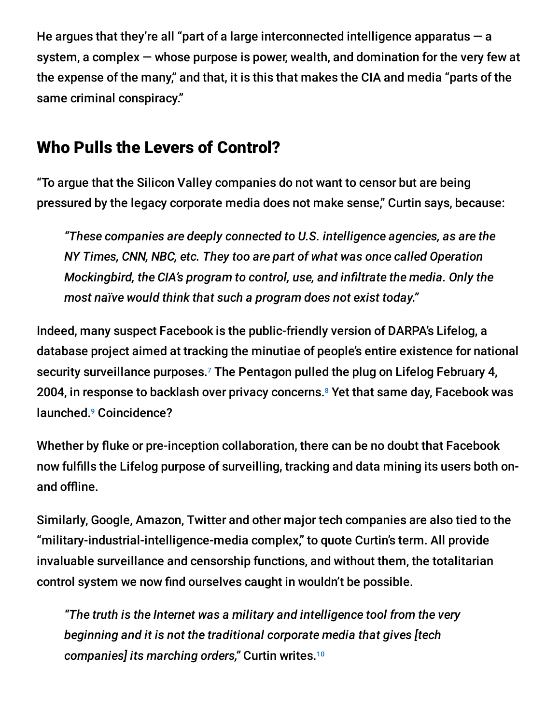He argues that they're all "part of a large interconnected intelligence apparatus  $-$  a system, a complex — whose purpose is power, wealth, and domination for the very few at the expense of the many," and that, it is this that makes the CIA and media "parts of the same criminal conspiracy."

#### Who Pulls the Levers of Control?

"To argue that the Silicon Valley companies do not want to censor but are being pressured by the legacy corporate media does not make sense," Curtin says, because:

*"These companies are deeply connected to U.S. intelligence agencies, as are the NY Times, CNN, NBC, etc. They too are part of what was once called Operation Mockingbird, the CIA's program to control, use, and infiltrate the media. Only the most naïve would think that such a program does not exist today."*

Indeed, many suspect Facebook is the public-friendly version of DARPA's Lifelog, a database project aimed at tracking the minutiae of people's entire existence for national security surveillance purposes. $7$  The Pentagon pulled the plug on Lifelog February 4, 2004, in response to backlash over privacy concerns.<sup>8</sup> Yet that same day, Facebook was launched.<sup>9</sup> Coincidence?

Whether by fluke or pre-inception collaboration, there can be no doubt that Facebook now fulfills the Lifelog purpose of surveilling, tracking and data mining its users both onand offline.

Similarly, Google, Amazon, Twitter and other major tech companies are also tied to the "military-industrial-intelligence-media complex," to quote Curtin's term. All provide invaluable surveillance and censorship functions, and without them, the totalitarian control system we now find ourselves caught in wouldn't be possible.

*"The truth is the Internet was a military and intelligence tool from the very beginning and it is not the traditional corporate media that gives [tech companies] its marching orders,"* Curtin writes. 10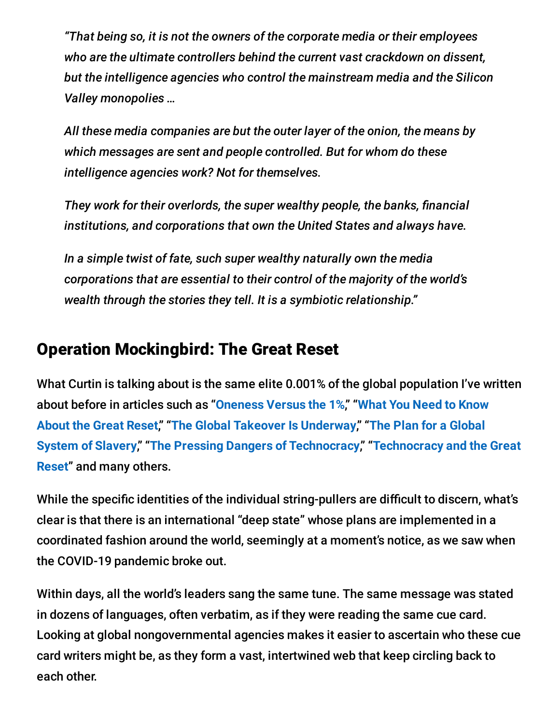*"That being so, it is not the owners of the corporate media or their employees who are the ultimate controllers behind the current vast crackdown on dissent, but the intelligence agencies who control the mainstream media and the Silicon Valley monopolies …*

*All these media companies are but the outer layer of the onion, the means by which messages are sent and people controlled. But for whom do these intelligence agencies work? Not for themselves.*

*They work for their overlords, the super wealthy people, the banks, financial institutions, and corporations that own the United States and always have.*

*In a simple twist of fate, such super wealthy naturally own the media corporations that are essential to their control of the majority of the world's wealth through the stories they tell. It is a symbiotic relationship."*

#### Operation Mockingbird: The Great Reset

What Curtin is talking about is the same elite 0.001% of the global population I've written about before in articles such as "**[Oneness](https://articles.mercola.com/sites/articles/archive/2020/11/01/vandana-shiva-oneness-versus-the-1.aspx) Versus the 1%**," "**What You Need to Know About the Great Reset**," "**The Global Takeover Is [Underway](https://articles.mercola.com/sites/articles/archive/2020/10/28/the-great-reset.aspx)**," "**The Plan for a Global System of Slavery**," "**The Pressing Dangers of [Technocracy](https://articles.mercola.com/sites/articles/archive/2021/01/16/slavery-system.aspx)**," "**Technocracy and the Great Reset**" and many others.

While the specific identities of the individual string-pullers are difficult to discern, what's clear is that there is an international "deep state" whose plans are implemented in a coordinated fashion around the world, seemingly at a moment's notice, as we saw when the COVID-19 pandemic broke out.

Within days, all the world's leaders sang the same tune. The same message was stated in dozens of languages, often verbatim, as if they were reading the same cue card. Looking at global nongovernmental agencies makes it easier to ascertain who these cue card writers might be, as they form a vast, intertwined web that keep circling back to each other.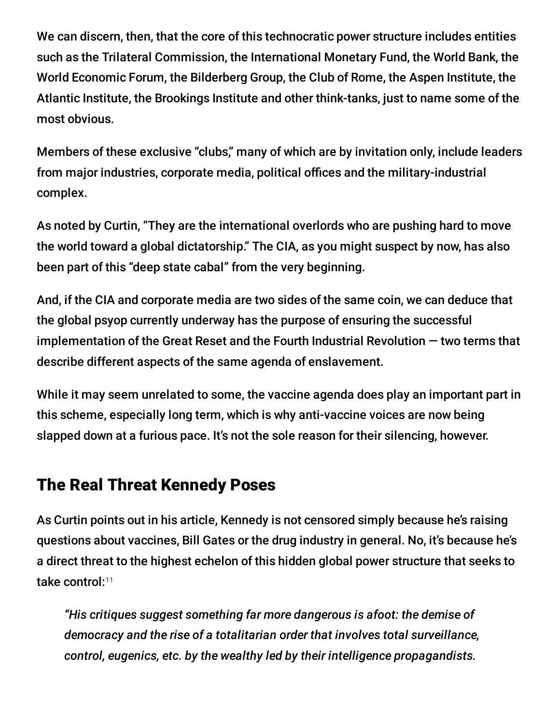We can discern, then, that the core of this technocratic power structure includes entities such as the Trilateral Commission, the International Monetary Fund, the World Bank, the World Economic Forum, the Bilderberg Group, the Club of Rome, the Aspen Institute, the Atlantic Institute, the Brookings Institute and other think-tanks, just to name some of the most obvious.

Members of these exclusive "clubs," many of which are by invitation only, include leaders from major industries, corporate media, political offices and the military-industrial complex.

As noted by Curtin, "They are the international overlords who are pushing hard to move the world toward a global dictatorship." The CIA, as you might suspect by now, has also been part of this "deep state cabal" from the very beginning.

And, if the CIA and corporate media are two sides of the same coin, we can deduce that the global psyop currently underway has the purpose of ensuring the successful implementation of the Great Reset and the Fourth Industrial Revolution — two terms that describe different aspects of the same agenda of enslavement.

While it may seem unrelated to some, the vaccine agenda does play an important part in this scheme, especially long term, which is why anti-vaccine voices are now being slapped down at a furious pace. It's not the sole reason for their silencing, however.

#### The Real Threat Kennedy Poses

As Curtin points out in his article, Kennedy is not censored simply because he's raising questions about vaccines, Bill Gates or the drug industry in general. No, it's because he's a direct threat to the highest echelon of this hidden global power structure that seeks to take control: 11

*"His critiques suggest something far more dangerous is afoot: the demise of democracy and the rise of a totalitarian order that involves total surveillance, control, eugenics, etc. by the wealthy led by their intelligence propagandists.*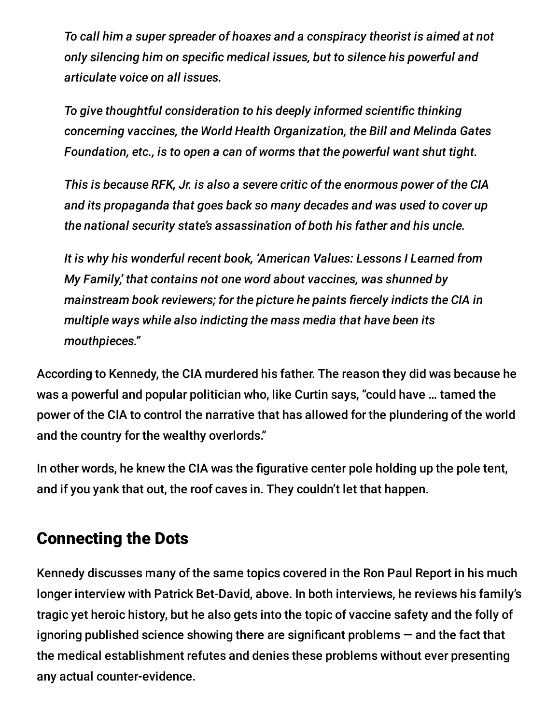*To call him a super spreader of hoaxes and a conspiracy theorist is aimed at not only silencing him on specific medical issues, but to silence his powerful and articulate voice on all issues.*

*To give thoughtful consideration to his deeply informed scientific thinking concerning vaccines, the World Health Organization, the Bill and Melinda Gates Foundation, etc., is to open a can of worms that the powerful want shut tight.*

*This is because RFK, Jr. is also a severe critic of the enormous power of the CIA and its propaganda that goes back so many decades and was used to cover up the national security state's assassination of both his father and his uncle.*

*It is why his wonderful recent book, 'American Values: Lessons I Learned from My Family,' that contains not one word about vaccines, was shunned by mainstream book reviewers; for the picture he paints fiercely indicts the CIA in multiple ways while also indicting the mass media that have been its mouthpieces."*

According to Kennedy, the CIA murdered his father. The reason they did was because he was a powerful and popular politician who, like Curtin says, "could have … tamed the power of the CIA to control the narrative that has allowed for the plundering of the world and the country for the wealthy overlords."

In other words, he knew the CIA was the figurative center pole holding up the pole tent, and if you yank that out, the roof caves in. They couldn't let that happen.

#### Connecting the Dots

Kennedy discusses many of the same topics covered in the Ron Paul Report in his much longer interview with Patrick Bet-David, above. In both interviews, he reviews his family's tragic yet heroic history, but he also gets into the topic of vaccine safety and the folly of ignoring published science showing there are significant problems — and the fact that the medical establishment refutes and denies these problems without ever presenting any actual counter-evidence.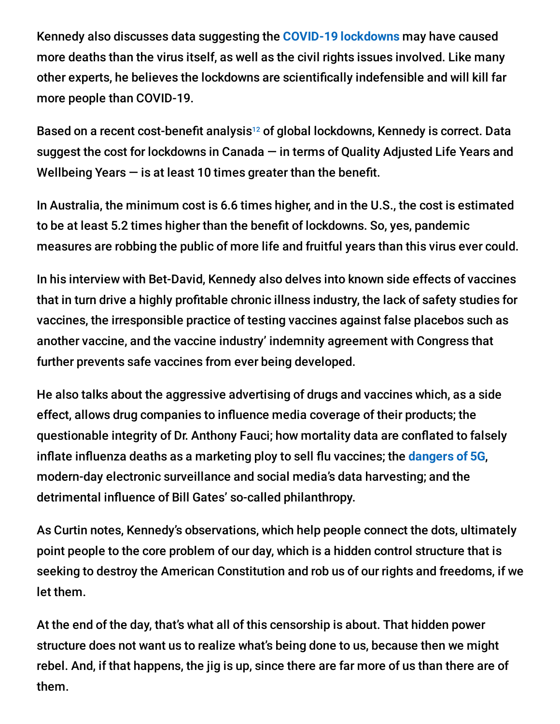Kennedy also discusses data suggesting the **COVID-19 [lockdowns](https://articles.mercola.com/sites/articles/archive/2021/01/27/more-evidence-proves-lockdowns-are-a-dangerous-lie.aspx)** may have caused more deaths than the virus itself, as well as the civil rights issues involved. Like many other experts, he believes the lockdowns are scientifically indefensible and will kill far more people than COVID-19.

Based on a recent cost-benefit analysis<sup>12</sup> of global lockdowns, Kennedy is correct. Data suggest the cost for lockdowns in Canada — in terms of Quality Adjusted Life Years and Wellbeing Years  $-$  is at least 10 times greater than the benefit.

In Australia, the minimum cost is 6.6 times higher, and in the U.S., the cost is estimated to be at least 5.2 times higher than the benefit of lockdowns. So, yes, pandemic measures are robbing the public of more life and fruitful years than this virus ever could.

In his interview with Bet-David, Kennedy also delves into known side effects of vaccines that in turn drive a highly profitable chronic illness industry, the lack of safety studies for vaccines, the irresponsible practice of testing vaccines against false placebos such as another vaccine, and the vaccine industry' indemnity agreement with Congress that further prevents safe vaccines from ever being developed.

He also talks about the aggressive advertising of drugs and vaccines which, as a side effect, allows drug companies to influence media coverage of their products; the questionable integrity of Dr. Anthony Fauci; how mortality data are conflated to falsely inflate influenza deaths as a marketing ploy to sell flu vaccines; the **[dangers](https://articles.mercola.com/sites/articles/archive/2020/02/29/5g-health-hazards.aspx) of 5G**, modern-day electronic surveillance and social media's data harvesting; and the detrimental influence of Bill Gates' so-called philanthropy.

As Curtin notes, Kennedy's observations, which help people connect the dots, ultimately point people to the core problem of our day, which is a hidden control structure that is seeking to destroy the American Constitution and rob us of our rights and freedoms, if we let them.

At the end of the day, that's what all of this censorship is about. That hidden power structure does not want us to realize what's being done to us, because then we might rebel. And, if that happens, the jig is up, since there are far more of us than there are of them.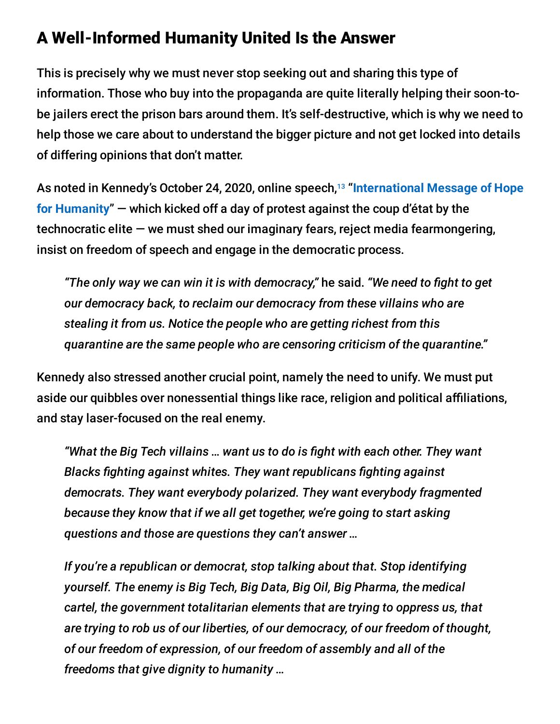#### A Well-Informed Humanity United Is the Answer

This is precisely why we must never stop seeking out and sharing this type of information. Those who buy into the propaganda are quite literally helping their soon-tobe jailers erect the prison bars around them. It's self-destructive, which is why we need to help those we care about to understand the bigger picture and not get locked into details of differing opinions that don't matter.

As noted in Kennedy's October 24, 2020, online speech, "**[International](https://articles.mercola.com/sites/articles/archive/2020/11/06/hope-despite-censorship.aspx) Message of Hope** 13**for Humanity**" — which kicked off a day of protest against the coup d'état by the technocratic elite — we must shed our imaginary fears, reject media fearmongering, insist on freedom of speech and engage in the democratic process.

*"The only way we can win it is with democracy,"* he said. *"We need to fight to get our democracy back, to reclaim our democracy from these villains who are stealing it from us. Notice the people who are getting richest from this quarantine are the same people who are censoring criticism of the quarantine."*

Kennedy also stressed another crucial point, namely the need to unify. We must put aside our quibbles over nonessential things like race, religion and political affiliations, and stay laser-focused on the real enemy.

*"What the Big Tech villains … want us to do is fight with each other. They want Blacks fighting against whites. They want republicans fighting against democrats. They want everybody polarized. They want everybody fragmented because they know that if we all get together, we're going to start asking questions and those are questions they can't answer …*

*If you're a republican or democrat, stop talking about that. Stop identifying yourself. The enemy is Big Tech, Big Data, Big Oil, Big Pharma, the medical cartel, the government totalitarian elements that are trying to oppress us, that are trying to rob us of our liberties, of our democracy, of our freedom of thought, of our freedom of expression, of our freedom of assembly and all of the freedoms that give dignity to humanity …*